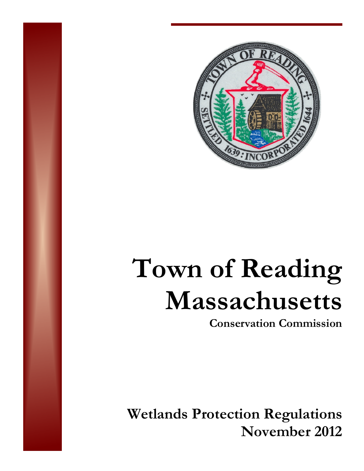

# **Town of Reading Massachusetts**

**Conservation Commission** 

**Wetlands Protection Regulations November 2012**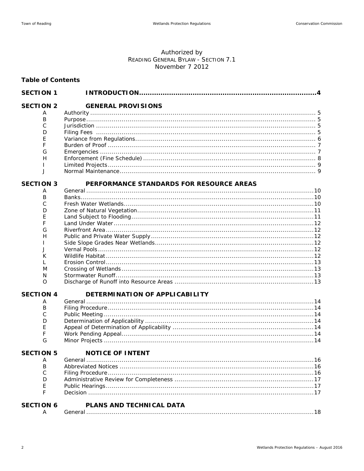## Authorized by<br>READING GENERAL BYLAW - SECTION 7.1 November 7 2012

#### **Table of Contents**

| <b>SECTION 1</b> |                                          |  |
|------------------|------------------------------------------|--|
| <b>SECTION 2</b> | <b>GENERAL PROVISIONS</b>                |  |
| A                |                                          |  |
| B                |                                          |  |
| C                |                                          |  |
| D                |                                          |  |
| E                |                                          |  |
| F                |                                          |  |
| G                |                                          |  |
| H                |                                          |  |
|                  |                                          |  |
| $\mathsf{J}$     |                                          |  |
| <b>SECTION 3</b> | PERFORMANCE STANDARDS FOR RESOURCE AREAS |  |
| Α                |                                          |  |
| B                |                                          |  |
| C                |                                          |  |
| D                |                                          |  |
| E                |                                          |  |
| F                |                                          |  |
| G<br>H           |                                          |  |
|                  |                                          |  |
| J                |                                          |  |
| К                |                                          |  |
| $\mathbf{L}$     |                                          |  |
| M                |                                          |  |
| N                |                                          |  |
| O                |                                          |  |
| <b>SECTION 4</b> | DETERMINATION OF APPLICABILITY           |  |
| A                |                                          |  |
| B                |                                          |  |
| C                |                                          |  |
| D                |                                          |  |
| E                |                                          |  |
| F                |                                          |  |
| G                |                                          |  |
| <b>SECTION 5</b> | <b>NOTICE OF INTENT</b>                  |  |
| Α                |                                          |  |
| B                |                                          |  |
| C                |                                          |  |
| D                |                                          |  |
| Ε                |                                          |  |
| F                |                                          |  |
| <b>SECTION 6</b> | PLANS AND TECHNICAL DATA                 |  |
|                  | . 18                                     |  |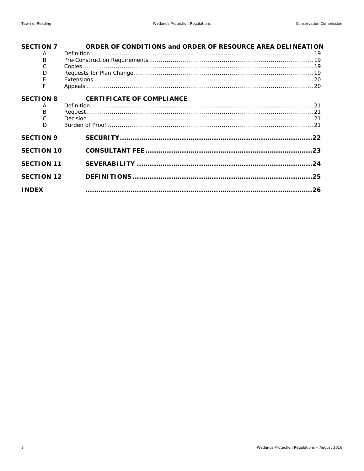| <b>SECTION 7</b>  | ORDER OF CONDITIONS and ORDER OF RESOURCE AREA DELINEATION |     |
|-------------------|------------------------------------------------------------|-----|
| A                 |                                                            |     |
| B                 |                                                            |     |
| С                 |                                                            |     |
| D                 |                                                            |     |
| F                 |                                                            |     |
|                   |                                                            |     |
| <b>SECTION 8</b>  | <b>CERTIFICATE OF COMPLIANCE</b>                           |     |
| A                 |                                                            |     |
| B                 |                                                            |     |
|                   |                                                            |     |
| D                 |                                                            |     |
| <b>SECTION 9</b>  |                                                            |     |
| <b>SECTION 10</b> |                                                            |     |
| <b>SECTION 11</b> |                                                            | .24 |
| <b>SECTION 12</b> |                                                            | 25  |
| <b>INDEX</b>      |                                                            | 26  |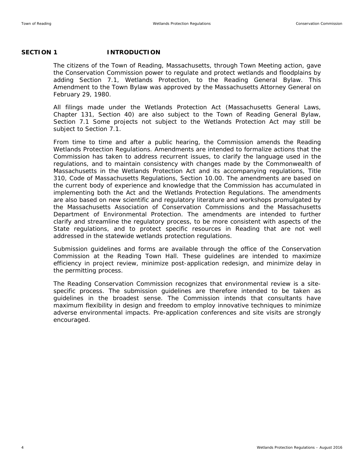#### SECTION 1 **INTRODUCTION**

The citizens of the Town of Reading, Massachusetts, through Town Meeting action, gave the Conservation Commission power to regulate and protect wetlands and floodplains by adding Section 7.1, Wetlands Protection, to the Reading General Bylaw. This Amendment to the Town Bylaw was approved by the Massachusetts Attorney General on February 29, 1980.

All filings made under the Wetlands Protection Act (Massachusetts General Laws, Chapter 131, Section 40) are also subject to the Town of Reading General Bylaw, Section 7.1 Some projects not subject to the Wetlands Protection Act may still be subject to Section 7.1.

From time to time and after a public hearing, the Commission amends the Reading Wetlands Protection Regulations. Amendments are intended to formalize actions that the Commission has taken to address recurrent issues, to clarify the language used in the regulations, and to maintain consistency with changes made by the Commonwealth of Massachusetts in the Wetlands Protection Act and its accompanying regulations, Title 310, Code of Massachusetts Regulations, Section 10.00. The amendments are based on the current body of experience and knowledge that the Commission has accumulated in implementing both the Act and the Wetlands Protection Regulations. The amendments are also based on new scientific and regulatory literature and workshops promulgated by the Massachusetts Association of Conservation Commissions and the Massachusetts Department of Environmental Protection. The amendments are intended to further clarify and streamline the regulatory process, to be more consistent with aspects of the State regulations, and to protect specific resources in Reading that are not well addressed in the statewide wetlands protection regulations.

Submission guidelines and forms are available through the office of the Conservation Commission at the Reading Town Hall. These guidelines are intended to maximize efficiency in project review, minimize post-application redesign, and minimize delay in the permitting process.

The Reading Conservation Commission recognizes that environmental review is a sitespecific process. The submission guidelines are therefore intended to be taken as guidelines in the broadest sense. The Commission intends that consultants have maximum flexibility in design and freedom to employ innovative techniques to minimize adverse environmental impacts. Pre-application conferences and site visits are strongly encouraged.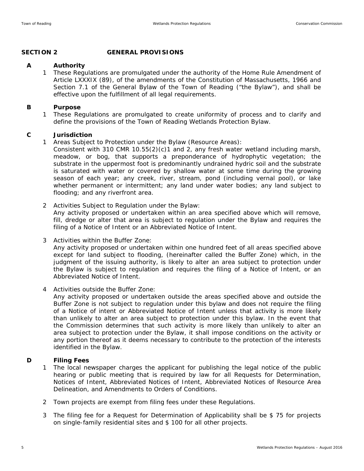#### **SECTION 2 GENERAL PROVISIONS**

#### **A Authority**

1 These Regulations are promulgated under the authority of the Home Rule Amendment of Article LXXXIX (89), of the amendments of the Constitution of Massachusetts, 1966 and Section 7.1 of the General Bylaw of the Town of Reading ("the Bylaw"), and shall be effective upon the fulfillment of all legal requirements.

#### **B Purpose**

1 These Regulations are promulgated to create uniformity of process and to clarify and define the provisions of the Town of Reading Wetlands Protection Bylaw.

#### **C Jurisdiction**

- 1 Areas Subject to Protection under the Bylaw (Resource Areas):
	- Consistent with 310 CMR 10.55(2)(c)1 and 2, any fresh water wetland including marsh, meadow, or bog, that supports a preponderance of hydrophytic vegetation; the substrate in the uppermost foot is predominantly undrained hydric soil and the substrate is saturated with water or covered by shallow water at some time during the growing season of each year; any creek, river, stream, pond (including vernal pool), or lake whether permanent or intermittent; any land under water bodies; any land subject to flooding; and any riverfront area.
- 2 Activities Subject to Regulation under the Bylaw:

Any activity proposed or undertaken within an area specified above which will remove, fill, dredge or alter that area is subject to regulation under the Bylaw and requires the filing of a Notice of Intent or an Abbreviated Notice of Intent.

3 Activities within the Buffer Zone:

Any activity proposed or undertaken within one hundred feet of all areas specified above except for land subject to flooding, (hereinafter called the Buffer Zone) which, in the judgment of the issuing authority, is likely to alter an area subject to protection under the Bylaw is subject to regulation and requires the filing of a Notice of Intent, or an Abbreviated Notice of Intent.

4 Activities outside the Buffer Zone:

Any activity proposed or undertaken outside the areas specified above and outside the Buffer Zone is not subject to regulation under this bylaw and does not require the filing of a Notice of intent or Abbreviated Notice of Intent unless that activity is more likely than unlikely to alter an area subject to protection under this bylaw. In the event that the Commission determines that such activity is more likely than unlikely to alter an area subject to protection under the Bylaw, it shall impose conditions on the activity or any portion thereof as it deems necessary to contribute to the protection of the interests identified in the Bylaw.

#### **D Filing Fees**

- 1 The local newspaper charges the applicant for publishing the legal notice of the public hearing or public meeting that is required by law for all Requests for Determination, Notices of Intent, Abbreviated Notices of Intent, Abbreviated Notices of Resource Area Delineation, and Amendments to Orders of Conditions.
- 2 Town projects are exempt from filing fees under these Regulations.
- 3 The filing fee for a Request for Determination of Applicability shall be \$ 75 for projects on single-family residential sites and \$ 100 for all other projects.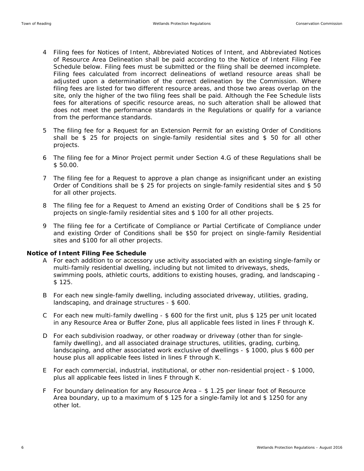- 4 Filing fees for Notices of Intent, Abbreviated Notices of Intent, and Abbreviated Notices of Resource Area Delineation shall be paid according to the Notice of Intent Filing Fee Schedule below. Filing fees must be submitted or the filing shall be deemed incomplete. Filing fees calculated from incorrect delineations of wetland resource areas shall be adjusted upon a determination of the correct delineation by the Commission. Where filing fees are listed for two different resource areas, and those two areas overlap on the site, only the higher of the two filing fees shall be paid. Although the Fee Schedule lists fees for alterations of specific resource areas, no such alteration shall be allowed that does not meet the performance standards in the Regulations or qualify for a variance from the performance standards.
- 5 The filing fee for a Request for an Extension Permit for an existing Order of Conditions shall be \$ 25 for projects on single-family residential sites and \$ 50 for all other projects.
- 6 The filing fee for a Minor Project permit under Section 4.G of these Regulations shall be \$ 50.00.
- 7 The filing fee for a Request to approve a plan change as insignificant under an existing Order of Conditions shall be \$ 25 for projects on single-family residential sites and \$ 50 for all other projects.
- 8 The filing fee for a Request to Amend an existing Order of Conditions shall be \$ 25 for projects on single-family residential sites and \$ 100 for all other projects.
- 9 The filing fee for a Certificate of Compliance or Partial Certificate of Compliance under and existing Order of Conditions shall be \$50 for project on single-family Residential sites and \$100 for all other projects.

#### **Notice of Intent Filing Fee Schedule**

- A For each addition to or accessory use activity associated with an existing single-family or multi-family residential dwelling, including but not limited to driveways, sheds, swimming pools, athletic courts, additions to existing houses, grading, and landscaping - \$ 125.
- B For each new single-family dwelling, including associated driveway, utilities, grading, landscaping, and drainage structures - \$ 600.
- C For each new multi-family dwelling \$ 600 for the first unit, plus \$ 125 per unit located in any Resource Area or Buffer Zone, plus all applicable fees listed in lines F through K.
- D For each subdivision roadway, or other roadway or driveway (other than for singlefamily dwelling), and all associated drainage structures, utilities, grading, curbing, landscaping, and other associated work exclusive of dwellings - \$ 1000, plus \$ 600 per house plus all applicable fees listed in lines F through K.
- E For each commercial, industrial, institutional, or other non-residential project \$ 1000, plus all applicable fees listed in lines F through K.
- F For boundary delineation for any Resource Area \$ 1.25 per linear foot of Resource Area boundary, up to a maximum of \$ 125 for a single-family lot and \$ 1250 for any other lot.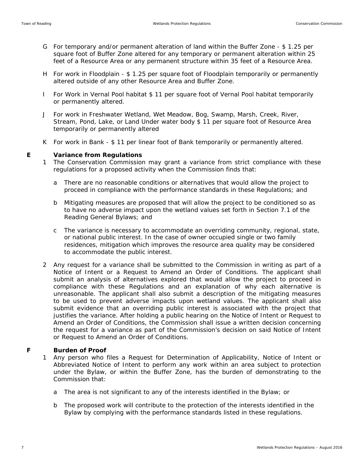- G For temporary and/or permanent alteration of land within the Buffer Zone \$ 1.25 per square foot of Buffer Zone altered for any temporary or permanent alteration within 25 feet of a Resource Area or any permanent structure within 35 feet of a Resource Area.
- H For work in Floodplain \$ 1.25 per square foot of Floodplain temporarily or permanently altered outside of any other Resource Area and Buffer Zone.
- I For Work in Vernal Pool habitat \$ 11 per square foot of Vernal Pool habitat temporarily or permanently altered.
- J For work in Freshwater Wetland, Wet Meadow, Bog, Swamp, Marsh, Creek, River, Stream, Pond, Lake, or Land Under water body \$ 11 per square foot of Resource Area temporarily or permanently altered
- K For work in Bank \$ 11 per linear foot of Bank temporarily or permanently altered.

#### **E Variance from Regulations**

- 1 The Conservation Commission may grant a variance from strict compliance with these regulations for a proposed activity when the Commission finds that:
	- a There are no reasonable conditions or alternatives that would allow the project to proceed in compliance with the performance standards in these Regulations; and
	- b Mitigating measures are proposed that will allow the project to be conditioned so as to have no adverse impact upon the wetland values set forth in Section 7.1 of the Reading General Bylaws; and
	- c The variance is necessary to accommodate an overriding community, regional, state, or national public interest. In the case of owner occupied single or two family residences, mitigation which improves the resource area quality may be considered to accommodate the public interest.
- 2 Any request for a variance shall be submitted to the Commission in writing as part of a Notice of Intent or a Request to Amend an Order of Conditions. The applicant shall submit an analysis of alternatives explored that would allow the project to proceed in compliance with these Regulations and an explanation of why each alternative is unreasonable. The applicant shall also submit a description of the mitigating measures to be used to prevent adverse impacts upon wetland values. The applicant shall also submit evidence that an overriding public interest is associated with the project that justifies the variance. After holding a public hearing on the Notice of Intent or Request to Amend an Order of Conditions, the Commission shall issue a written decision concerning the request for a variance as part of the Commission's decision on said Notice of Intent or Request to Amend an Order of Conditions.

#### **F Burden of Proof**

- 1 Any person who files a Request for Determination of Applicability, Notice of Intent or Abbreviated Notice of Intent to perform any work within an area subject to protection under the Bylaw, or within the Buffer Zone, has the burden of demonstrating to the Commission that:
	- a The area is not significant to any of the interests identified in the Bylaw; or
	- b The proposed work will contribute to the protection of the interests identified in the Bylaw by complying with the performance standards listed in these regulations.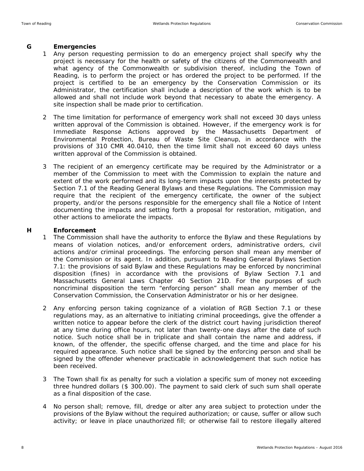#### **G Emergencies**

- 1 Any person requesting permission to do an emergency project shall specify why the project is necessary for the health or safety of the citizens of the Commonwealth and what agency of the Commonwealth or subdivision thereof, including the Town of Reading, is to perform the project or has ordered the project to be performed. If the project is certified to be an emergency by the Conservation Commission or its Administrator, the certification shall include a description of the work which is to be allowed and shall not include work beyond that necessary to abate the emergency. A site inspection shall be made prior to certification.
- 2 The time limitation for performance of emergency work shall not exceed 30 days unless written approval of the Commission is obtained. However, if the emergency work is for Immediate Response Actions approved by the Massachusetts Department of Environmental Protection, Bureau of Waste Site Cleanup, in accordance with the provisions of 310 CMR 40.0410, then the time limit shall not exceed 60 days unless written approval of the Commission is obtained.
- 3 The recipient of an emergency certificate may be required by the Administrator or a member of the Commission to meet with the Commission to explain the nature and extent of the work performed and its long-term impacts upon the interests protected by Section 7.1 of the Reading General Bylaws and these Regulations. The Commission may require that the recipient of the emergency certificate, the owner of the subject property, and/or the persons responsible for the emergency shall file a Notice of Intent documenting the impacts and setting forth a proposal for restoration, mitigation, and other actions to ameliorate the impacts.

#### **H Enforcement**

- 1 The Commission shall have the authority to enforce the Bylaw and these Regulations by means of violation notices, and/or enforcement orders, administrative orders, civil actions and/or criminal proceedings. The enforcing person shall mean any member of the Commission or its agent. In addition, pursuant to Reading General Bylaws Section 7.1: the provisions of said Bylaw and these Regulations may be enforced by noncriminal disposition (fines) in accordance with the provisions of Bylaw Section 7.1 and Massachusetts General Laws Chapter 40 Section 21D. For the purposes of such noncriminal disposition the term "enforcing person" shall mean any member of the Conservation Commission, the Conservation Administrator or his or her designee.
- 2 Any enforcing person taking cognizance of a violation of RGB Section 7.1 or these regulations may, as an alternative to initiating criminal proceedings, give the offender a written notice to appear before the clerk of the district court having jurisdiction thereof at any time during office hours, not later than twenty-one days after the date of such notice. Such notice shall be in triplicate and shall contain the name and address, if known, of the offender, the specific offense charged, and the time and place for his required appearance. Such notice shall be signed by the enforcing person and shall be signed by the offender whenever practicable in acknowledgement that such notice has been received.
- 3 The Town shall fix as penalty for such a violation a specific sum of money not exceeding three hundred dollars (\$ 300.00). The payment to said clerk of such sum shall operate as a final disposition of the case.
- 4 No person shall; remove, fill, dredge or alter any area subject to protection under the provisions of the Bylaw without the required authorization; or cause, suffer or allow such activity; or leave in place unauthorized fill; or otherwise fail to restore illegally altered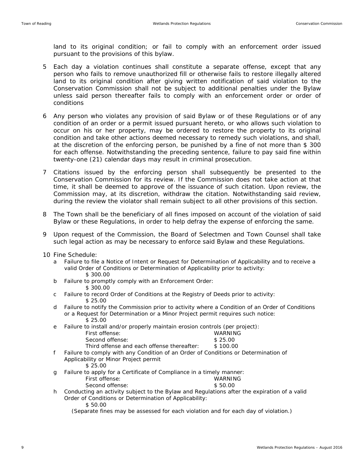land to its original condition; or fail to comply with an enforcement order issued pursuant to the provisions of this bylaw.

- 5 Each day a violation continues shall constitute a separate offense, except that any person who fails to remove unauthorized fill or otherwise fails to restore illegally altered land to its original condition after giving written notification of said violation to the Conservation Commission shall not be subject to additional penalties under the Bylaw unless said person thereafter fails to comply with an enforcement order or order of conditions
- 6 Any person who violates any provision of said Bylaw or of these Regulations or of any condition of an order or a permit issued pursuant hereto, or who allows such violation to occur on his or her property, may be ordered to restore the property to its original condition and take other actions deemed necessary to remedy such violations, and shall, at the discretion of the enforcing person, be punished by a fine of not more than \$ 300 for each offense. Notwithstanding the preceding sentence, failure to pay said fine within twenty-one (21) calendar days may result in criminal prosecution.
- 7 Citations issued by the enforcing person shall subsequently be presented to the Conservation Commission for its review. If the Commission does not take action at that time, it shall be deemed to approve of the issuance of such citation. Upon review, the Commission may, at its discretion, withdraw the citation. Notwithstanding said review, during the review the violator shall remain subject to all other provisions of this section.
- 8 The Town shall be the beneficiary of all fines imposed on account of the violation of said Bylaw or these Regulations, in order to help defray the expense of enforcing the same.
- 9 Upon request of the Commission, the Board of Selectmen and Town Counsel shall take such legal action as may be necessary to enforce said Bylaw and these Regulations.
- 10 Fine Schedule:
	- a Failure to file a Notice of Intent or Request for Determination of Applicability and to receive a valid Order of Conditions or Determination of Applicability prior to activity: \$ 300.00
	- b Failure to promptly comply with an Enforcement Order:
		- \$ 300.00
	- c Failure to record Order of Conditions at the Registry of Deeds prior to activity: \$ 25.00
	- d Failure to notify the Commission prior to activity where a Condition of an Order of Conditions or a Request for Determination or a Minor Project permit requires such notice: \$ 25.00
	- e Failure to install and/or properly maintain erosion controls (per project):

| First offense:                             | WARNING  |
|--------------------------------------------|----------|
| Second offense:                            | \$25.00  |
| Third offense and each offense thereafter: | \$100.00 |

- f Failure to comply with any Condition of an Order of Conditions or Determination of Applicability or Minor Project permit \$ 25.00
- g Failure to apply for a Certificate of Compliance in a timely manner: First offense: WARNING Second offense:  $$50.00$
- h Conducting an activity subject to the Bylaw and Regulations after the expiration of a valid Order of Conditions or Determination of Applicability: \$ 50.00

(Separate fines may be assessed for each violation and for each day of violation.)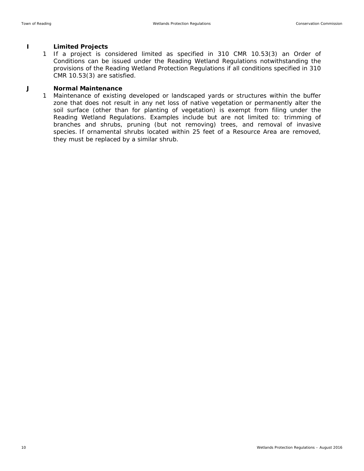#### **I Limited Projects**

1 If a project is considered limited as specified in 310 CMR 10.53(3) an Order of Conditions can be issued under the Reading Wetland Regulations notwithstanding the provisions of the Reading Wetland Protection Regulations if all conditions specified in 310 CMR 10.53(3) are satisfied.

#### **J Normal Maintenance**

1 Maintenance of existing developed or landscaped yards or structures within the buffer zone that does not result in any net loss of native vegetation or permanently alter the soil surface (other than for planting of vegetation) is exempt from filing under the Reading Wetland Regulations. Examples include but are not limited to: trimming of branches and shrubs, pruning (but not removing) trees, and removal of invasive species. If ornamental shrubs located within 25 feet of a Resource Area are removed, they must be replaced by a similar shrub.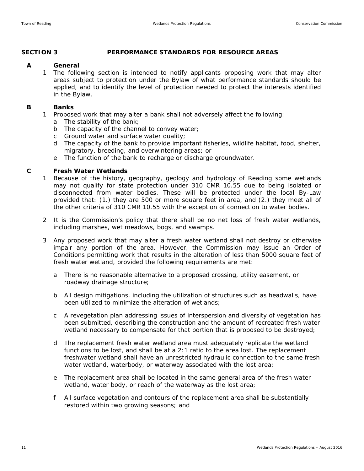#### **SECTION 3 PERFORMANCE STANDARDS FOR RESOURCE AREAS**

#### **A General**

1 The following section is intended to notify applicants proposing work that may alter areas subject to protection under the Bylaw of what performance standards should be applied, and to identify the level of protection needed to protect the interests identified in the Bylaw.

#### **B Banks**

- 1 Proposed work that may alter a bank shall not adversely affect the following:
	- a The stability of the bank;
	- b The capacity of the channel to convey water;
	- c Ground water and surface water quality;
	- d The capacity of the bank to provide important fisheries, wildlife habitat, food, shelter, migratory, breeding, and overwintering areas; or
	- e The function of the bank to recharge or discharge groundwater.

#### **C Fresh Water Wetlands**

- 1 Because of the history, geography, geology and hydrology of Reading some wetlands may not qualify for state protection under 310 CMR 10.55 due to being isolated or disconnected from water bodies. These will be protected under the local By-Law provided that: (1.) they are 500 or more square feet in area, and (2.) they meet all of the other criteria of 310 CMR 10.55 with the exception of connection to water bodies.
- 2 It is the Commission's policy that there shall be no net loss of fresh water wetlands, including marshes, wet meadows, bogs, and swamps.
- 3 Any proposed work that may alter a fresh water wetland shall not destroy or otherwise impair any portion of the area. However, the Commission may issue an Order of Conditions permitting work that results in the alteration of less than 5000 square feet of fresh water wetland, provided the following requirements are met:
	- a There is no reasonable alternative to a proposed crossing, utility easement, or roadway drainage structure;
	- b All design mitigations, including the utilization of structures such as headwalls, have been utilized to minimize the alteration of wetlands;
	- c A revegetation plan addressing issues of interspersion and diversity of vegetation has been submitted, describing the construction and the amount of recreated fresh water wetland necessary to compensate for that portion that is proposed to be destroyed;
	- d The replacement fresh water wetland area must adequately replicate the wetland functions to be lost, and shall be at a 2:1 ratio to the area lost. The replacement freshwater wetland shall have an unrestricted hydraulic connection to the same fresh water wetland, waterbody, or waterway associated with the lost area;
	- e The replacement area shall be located in the same general area of the fresh water wetland, water body, or reach of the waterway as the lost area;
	- f All surface vegetation and contours of the replacement area shall be substantially restored within two growing seasons; and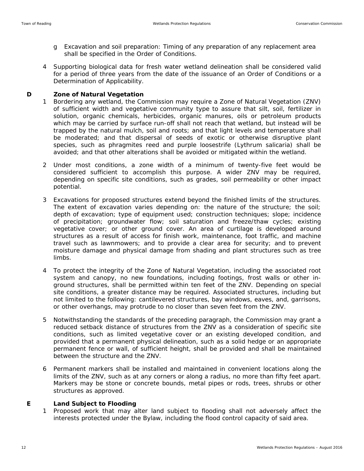- g Excavation and soil preparation: Timing of any preparation of any replacement area shall be specified in the Order of Conditions.
- 4 Supporting biological data for fresh water wetland delineation shall be considered valid for a period of three years from the date of the issuance of an Order of Conditions or a Determination of Applicability.

#### **D Zone of Natural Vegetation**

- 1 Bordering any wetland, the Commission may require a Zone of Natural Vegetation (ZNV) of sufficient width and vegetative community type to assure that silt, soil, fertilizer in solution, organic chemicals, herbicides, organic manures, oils or petroleum products which may be carried by surface run-off shall not reach that wetland, but instead will be trapped by the natural mulch, soil and roots; and that light levels and temperature shall be moderated; and that dispersal of seeds of exotic or otherwise disruptive plant species, such as phragmites reed and purple loosestrife (Lythrum salicaria) shall be avoided; and that other alterations shall be avoided or mitigated within the wetland.
- 2 Under most conditions, a zone width of a minimum of twenty-five feet would be considered sufficient to accomplish this purpose. A wider ZNV may be required, depending on specific site conditions, such as grades, soil permeability or other impact potential.
- 3 Excavations for proposed structures extend beyond the finished limits of the structures. The extent of excavation varies depending on: the nature of the structure; the soil; depth of excavation; type of equipment used; construction techniques; slope; incidence of precipitation; groundwater flow; soil saturation and freeze/thaw cycles; existing vegetative cover; or other ground cover. An area of curtilage is developed around structures as a result of access for finish work, maintenance, foot traffic, and machine travel such as lawnmowers; and to provide a clear area for security; and to prevent moisture damage and physical damage from shading and plant structures such as tree limbs.
- 4 To protect the integrity of the Zone of Natural Vegetation, including the associated root system and canopy, no new foundations, including footings, frost walls or other inground structures, shall be permitted within ten feet of the ZNV. Depending on special site conditions, a greater distance may be required. Associated structures, including but not limited to the following: cantilevered structures, bay windows, eaves, and, garrisons, or other overhangs, may protrude to no closer than seven feet from the ZNV.
- 5 Notwithstanding the standards of the preceding paragraph, the Commission may grant a reduced setback distance of structures from the ZNV as a consideration of specific site conditions, such as limited vegetative cover or an existing developed condition, and provided that a permanent physical delineation, such as a solid hedge or an appropriate permanent fence or wall, of sufficient height, shall be provided and shall be maintained between the structure and the ZNV.
- 6 Permanent markers shall be installed and maintained in convenient locations along the limits of the ZNV, such as at any corners or along a radius, no more than fifty feet apart. Markers may be stone or concrete bounds, metal pipes or rods, trees, shrubs or other structures as approved.

#### **E Land Subject to Flooding**

1 Proposed work that may alter land subject to flooding shall not adversely affect the interests protected under the Bylaw, including the flood control capacity of said area.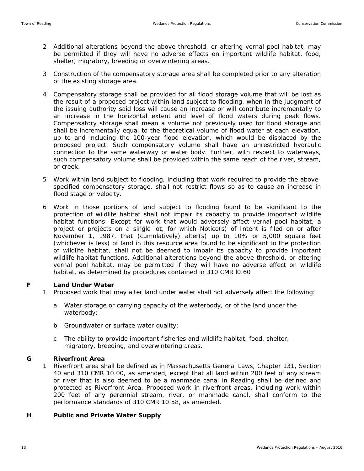- 2 Additional alterations beyond the above threshold, or altering vernal pool habitat, may be permitted if they will have no adverse effects on important wildlife habitat, food, shelter, migratory, breeding or overwintering areas.
- 3 Construction of the compensatory storage area shall be completed prior to any alteration of the existing storage area.
- 4 Compensatory storage shall be provided for all flood storage volume that will be lost as the result of a proposed project within land subject to flooding, when in the judgment of the issuing authority said loss will cause an increase or will contribute incrementally to an increase in the horizontal extent and level of flood waters during peak flows. Compensatory storage shall mean a volume not previously used for flood storage and shall be incrementally equal to the theoretical volume of flood water at each elevation, up to and including the 100-year flood elevation, which would be displaced by the proposed project. Such compensatory volume shall have an unrestricted hydraulic connection to the same waterway or water body. Further, with respect to waterways, such compensatory volume shall be provided within the same reach of the river, stream, or creek.
- 5 Work within land subject to flooding, including that work required to provide the abovespecified compensatory storage, shall not restrict flows so as to cause an increase in flood stage or velocity.
- 6 Work in those portions of land subject to flooding found to be significant to the protection of wildlife habitat shall not impair its capacity to provide important wildlife habitat functions. Except for work that would adversely affect vernal pool habitat, a project or projects on a single lot, for which Notice(s) of Intent is filed on or after November 1, 1987, that (cumulatively) alter(s) up to 10% or 5,000 square feet (whichever is less) of land in this resource area found to be significant to the protection of wildlife habitat, shall not be deemed to impair its capacity to provide important wildlife habitat functions. Additional alterations beyond the above threshold, or altering vernal pool habitat, may be permitted if they will have no adverse effect on wildlife habitat, as determined by procedures contained in 310 CMR l0.60

#### **F Land Under Water**

- 1 Proposed work that may alter land under water shall not adversely affect the following:
	- a Water storage or carrying capacity of the waterbody, or of the land under the waterbody;
	- b Groundwater or surface water quality;
	- c The ability to provide important fisheries and wildlife habitat, food, shelter, migratory, breeding, and overwintering areas.

#### **G Riverfront Area**

1 Riverfront area shall be defined as in Massachusetts General Laws, Chapter 131, Section 40 and 310 CMR 10.00, as amended, except that all land within 200 feet of any stream or river that is also deemed to be a manmade canal in Reading shall be defined and protected as Riverfront Area. Proposed work in riverfront areas, including work within 200 feet of any perennial stream, river, or manmade canal, shall conform to the performance standards of 310 CMR 10.58, as amended.

#### **H Public and Private Water Supply**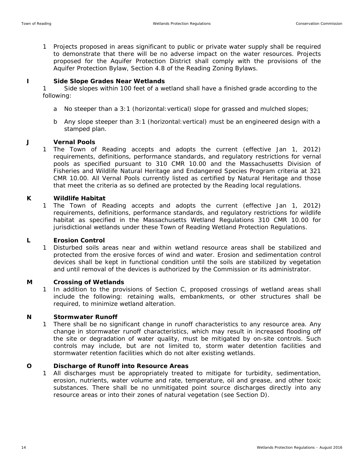1 Projects proposed in areas significant to public or private water supply shall be required to demonstrate that there will be no adverse impact on the water resources. Projects proposed for the Aquifer Protection District shall comply with the provisions of the Aquifer Protection Bylaw, Section 4.8 of the Reading Zoning Bylaws.

#### **I Side Slope Grades Near Wetlands**

1 Side slopes within 100 feet of a wetland shall have a finished grade according to the following:

- a No steeper than a 3:1 (horizontal: vertical) slope for grassed and mulched slopes;
- b Any slope steeper than 3:1 (horizontal:vertical) must be an engineered design with a stamped plan.

#### **J Vernal Pools**

1 The Town of Reading accepts and adopts the current (effective Jan 1, 2012) requirements, definitions, performance standards, and regulatory restrictions for vernal pools as specified pursuant to 310 CMR 10.00 and the Massachusetts Division of Fisheries and Wildlife Natural Heritage and Endangered Species Program criteria at 321 CMR 10.00. All Vernal Pools currently listed as certified by Natural Heritage and those that meet the criteria as so defined are protected by the Reading local regulations.

#### **K Wildlife Habitat**

1 The Town of Reading accepts and adopts the current (effective Jan 1, 2012) requirements, definitions, performance standards, and regulatory restrictions for wildlife habitat as specified in the Massachusetts Wetland Regulations 310 CMR 10.00 for jurisdictional wetlands under these Town of Reading Wetland Protection Regulations.

#### **L Erosion Control**

1 Disturbed soils areas near and within wetland resource areas shall be stabilized and protected from the erosive forces of wind and water. Erosion and sedimentation control devices shall be kept in functional condition until the soils are stabilized by vegetation and until removal of the devices is authorized by the Commission or its administrator.

#### **M Crossing of Wetlands**

1 In addition to the provisions of Section C, proposed crossings of wetland areas shall include the following: retaining walls, embankments, or other structures shall be required, to minimize wetland alteration.

#### **N Stormwater Runoff**

1 There shall be no significant change in runoff characteristics to any resource area. Any change in stormwater runoff characteristics, which may result in increased flooding off the site or degradation of water quality, must be mitigated by on-site controls. Such controls may include, but are not limited to, storm water detention facilities and stormwater retention facilities which do not alter existing wetlands.

#### **O Discharge of Runoff into Resource Areas**

1 All discharges must be appropriately treated to mitigate for turbidity, sedimentation, erosion, nutrients, water volume and rate, temperature, oil and grease, and other toxic substances. There shall be no unmitigated point source discharges directly into any resource areas or into their zones of natural vegetation (see Section D).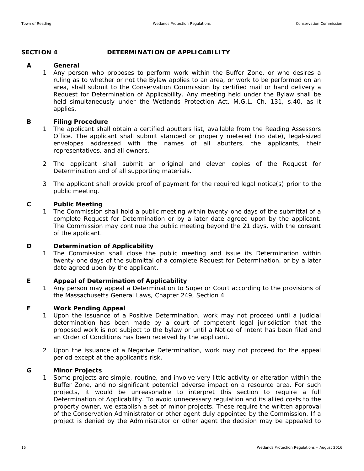#### **SECTION 4 DETERMINATION OF APPLICABILITY**

#### **A General**

1 Any person who proposes to perform work within the Buffer Zone, or who desires a ruling as to whether or not the Bylaw applies to an area, or work to be performed on an area, shall submit to the Conservation Commission by certified mail or hand delivery a Request for Determination of Applicability. Any meeting held under the Bylaw shall be held simultaneously under the Wetlands Protection Act, M.G.L. Ch. 131, s.40, as it applies.

#### **B Filing Procedure**

- 1 The applicant shall obtain a certified abutters list, available from the Reading Assessors Office. The applicant shall submit stamped or properly metered (no date), legal-sized envelopes addressed with the names of all abutters, the applicants, their representatives, and all owners.
- 2 The applicant shall submit an original and eleven copies of the Request for Determination and of all supporting materials.
- 3 The applicant shall provide proof of payment for the required legal notice(s) prior to the public meeting.

#### **C Public Meeting**

1 The Commission shall hold a public meeting within twenty-one days of the submittal of a complete Request for Determination or by a later date agreed upon by the applicant. The Commission may continue the public meeting beyond the 21 days, with the consent of the applicant.

#### **D** Determination of Applicability

1 The Commission shall close the public meeting and issue its Determination within twenty-one days of the submittal of a complete Request for Determination, or by a later date agreed upon by the applicant.

#### **E Appeal of Determination of Applicability**

1 Any person may appeal a Determination to Superior Court according to the provisions of the Massachusetts General Laws, Chapter 249, Section 4

#### **F Work Pending Appeal**

- 1 Upon the issuance of a Positive Determination, work may not proceed until a judicial determination has been made by a court of competent legal jurisdiction that the proposed work is not subject to the bylaw or until a Notice of Intent has been filed and an Order of Conditions has been received by the applicant.
- 2 Upon the issuance of a Negative Determination, work may not proceed for the appeal period except at the applicant's risk.

#### **G Minor Projects**

1 Some projects are simple, routine, and involve very little activity or alteration within the Buffer Zone, and no significant potential adverse impact on a resource area. For such projects, it would be unreasonable to interpret this section to require a full Determination of Applicability. To avoid unnecessary regulation and its allied costs to the property owner, we establish a set of minor projects. These require the written approval of the Conservation Administrator or other agent duly appointed by the Commission. If a project is denied by the Administrator or other agent the decision may be appealed to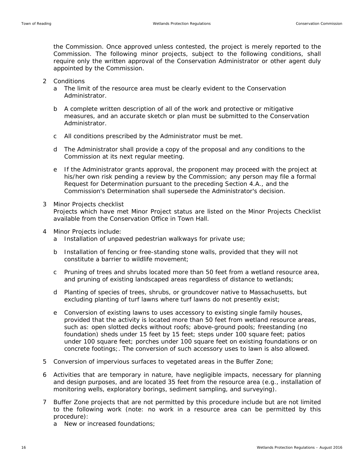the Commission. Once approved unless contested, the project is merely reported to the Commission. The following minor projects, subject to the following conditions, shall require only the written approval of the Conservation Administrator or other agent duly appointed by the Commission.

- 2 Conditions
	- a The limit of the resource area must be clearly evident to the Conservation Administrator.
	- b A complete written description of all of the work and protective or mitigative measures, and an accurate sketch or plan must be submitted to the Conservation Administrator.
	- c All conditions prescribed by the Administrator must be met.
	- d The Administrator shall provide a copy of the proposal and any conditions to the Commission at its next regular meeting.
	- e If the Administrator grants approval, the proponent may proceed with the project at his/her own risk pending a review by the Commission; any person may file a formal Request for Determination pursuant to the preceding Section 4.A., and the Commission's Determination shall supersede the Administrator's decision.
- 3 Minor Projects checklist Projects which have met Minor Project status are listed on the Minor Projects Checklist available from the Conservation Office in Town Hall.
- 4 Minor Projects include:
	- a Installation of unpaved pedestrian walkways for private use;
	- b Installation of fencing or free-standing stone walls, provided that they will not constitute a barrier to wildlife movement;
	- c Pruning of trees and shrubs located more than 50 feet from a wetland resource area, and pruning of existing landscaped areas regardless of distance to wetlands;
	- d Planting of species of trees, shrubs, or groundcover native to Massachusetts, but excluding planting of turf lawns where turf lawns do not presently exist;
	- e Conversion of existing lawns to uses accessory to existing single family houses, provided that the activity is located more than 50 feet from wetland resource areas, such as: open slotted decks without roofs; above-ground pools; freestanding (no foundation) sheds under 15 feet by 15 feet; steps under 100 square feet; patios under 100 square feet; porches under 100 square feet on existing foundations or on concrete footings;. The conversion of such accessory uses to lawn is also allowed.
- 5 Conversion of impervious surfaces to vegetated areas in the Buffer Zone;
- 6 Activities that are temporary in nature, have negligible impacts, necessary for planning and design purposes, and are located 35 feet from the resource area (e.g., installation of monitoring wells, exploratory borings, sediment sampling, and surveying).
- 7 Buffer Zone projects that are not permitted by this procedure include but are not limited to the following work (note: no work in a resource area can be permitted by this procedure):
	- a New or increased foundations;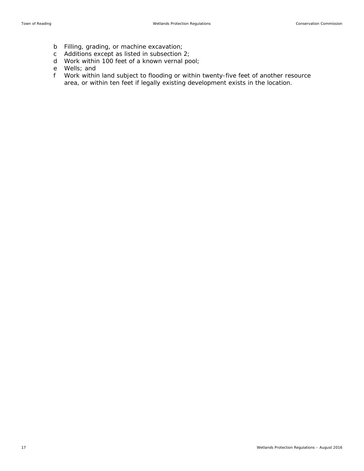- b Filling, grading, or machine excavation;
- c Additions except as listed in subsection 2;
- d Work within 100 feet of a known vernal pool;
- e Wells; and
- f Work within land subject to flooding or within twenty-five feet of another resource area, or within ten feet if legally existing development exists in the location.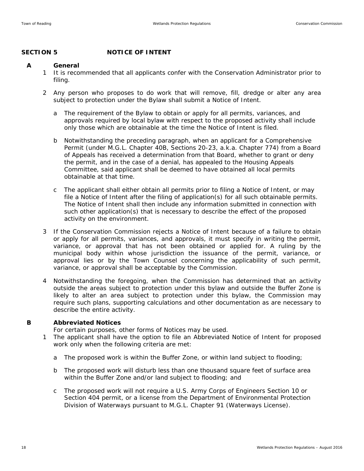## SECTION 5 NOTICE OF INTENT

#### **A General**

- 1 It is recommended that all applicants confer with the Conservation Administrator prior to filing.
- 2 Any person who proposes to do work that will remove, fill, dredge or alter any area subject to protection under the Bylaw shall submit a Notice of Intent.
	- a The requirement of the Bylaw to obtain or apply for all permits, variances, and approvals required by local bylaw with respect to the proposed activity shall include only those which are obtainable at the time the Notice of Intent is filed.
	- b Notwithstanding the preceding paragraph, when an applicant for a Comprehensive Permit (under M.G.L. Chapter 40B, Sections 20-23, a.k.a. Chapter 774) from a Board of Appeals has received a determination from that Board, whether to grant or deny the permit, and in the case of a denial, has appealed to the Housing Appeals Committee, said applicant shall be deemed to have obtained all local permits obtainable at that time.
	- c The applicant shall either obtain all permits prior to filing a Notice of Intent, or may file a Notice of Intent after the filing of application(s) for all such obtainable permits. The Notice of Intent shall then include any information submitted in connection with such other application(s) that is necessary to describe the effect of the proposed activity on the environment.
- 3 If the Conservation Commission rejects a Notice of Intent because of a failure to obtain or apply for all permits, variances, and approvals, it must specify in writing the permit, variance, or approval that has not been obtained or applied for. A ruling by the municipal body within whose jurisdiction the issuance of the permit, variance, or approval lies or by the Town Counsel concerning the applicability of such permit, variance, or approval shall be acceptable by the Commission.
- 4 Notwithstanding the foregoing, when the Commission has determined that an activity outside the areas subject to protection under this bylaw and outside the Buffer Zone is likely to alter an area subject to protection under this bylaw, the Commission may require such plans, supporting calculations and other documentation as are necessary to describe the entire activity.

#### **B Abbreviated Notices**

For certain purposes, other forms of Notices may be used.

- 1 The applicant shall have the option to file an Abbreviated Notice of Intent for proposed work only when the following criteria are met:
	- a The proposed work is within the Buffer Zone, or within land subject to flooding;
	- b The proposed work will disturb less than one thousand square feet of surface area within the Buffer Zone and/or land subject to flooding; and
	- c The proposed work will not require a U.S. Army Corps of Engineers Section 10 or Section 404 permit, or a license from the Department of Environmental Protection Division of Waterways pursuant to M.G.L. Chapter 91 (Waterways License).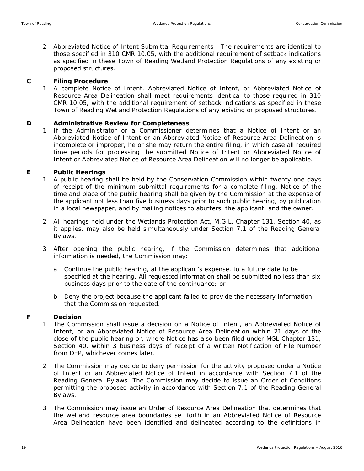2 Abbreviated Notice of Intent Submittal Requirements - The requirements are identical to those specified in 310 CMR 10.05, with the additional requirement of setback indications as specified in these Town of Reading Wetland Protection Regulations of any existing or proposed structures.

#### **C Filing Procedure**

1 A complete Notice of Intent, Abbreviated Notice of Intent, or Abbreviated Notice of Resource Area Delineation shall meet requirements identical to those required in 310 CMR 10.05, with the additional requirement of setback indications as specified in these Town of Reading Wetland Protection Regulations of any existing or proposed structures.

#### **D Administrative Review for Completeness**

1 If the Administrator or a Commissioner determines that a Notice of Intent or an Abbreviated Notice of Intent or an Abbreviated Notice of Resource Area Delineation is incomplete or improper, he or she may return the entire filing, in which case all required time periods for processing the submitted Notice of Intent or Abbreviated Notice of Intent or Abbreviated Notice of Resource Area Delineation will no longer be applicable.

#### **E Public Hearings**

- 1 A public hearing shall be held by the Conservation Commission within twenty-one days of receipt of the minimum submittal requirements for a complete filing. Notice of the time and place of the public hearing shall be given by the Commission at the expense of the applicant not less than five business days prior to such public hearing, by publication in a local newspaper, and by mailing notices to abutters, the applicant, and the owner.
- 2 All hearings held under the Wetlands Protection Act, M.G.L. Chapter 131, Section 40, as it applies, may also be held simultaneously under Section 7.1 of the Reading General Bylaws.
- 3 After opening the public hearing, if the Commission determines that additional information is needed, the Commission may:
	- a Continue the public hearing, at the applicant's expense, to a future date to be specified at the hearing. All requested information shall be submitted no less than six business days prior to the date of the continuance; or
	- b Deny the project because the applicant failed to provide the necessary information that the Commission requested.

#### **F Decision**

- 1 The Commission shall issue a decision on a Notice of Intent, an Abbreviated Notice of Intent, or an Abbreviated Notice of Resource Area Delineation within 21 days of the close of the public hearing or, where Notice has also been filed under MGL Chapter 131, Section 40, within 3 business days of receipt of a written Notification of File Number from DEP, whichever comes later.
- 2 The Commission may decide to deny permission for the activity proposed under a Notice of Intent or an Abbreviated Notice of Intent in accordance with Section 7.1 of the Reading General Bylaws. The Commission may decide to issue an Order of Conditions permitting the proposed activity in accordance with Section 7.1 of the Reading General Bylaws.
- 3 The Commission may issue an Order of Resource Area Delineation that determines that the wetland resource area boundaries set forth in an Abbreviated Notice of Resource Area Delineation have been identified and delineated according to the definitions in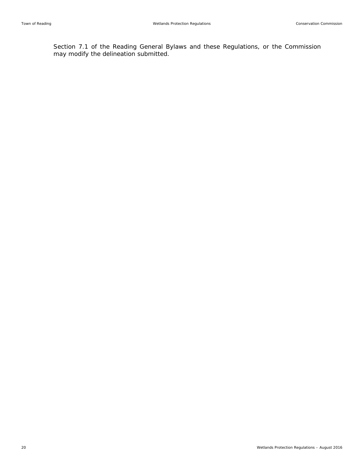Section 7.1 of the Reading General Bylaws and these Regulations, or the Commission may modify the delineation submitted.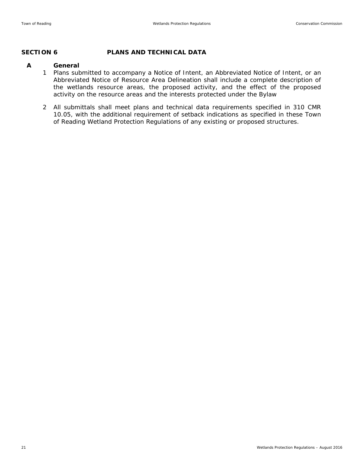#### **SECTION 6 PLANS AND TECHNICAL DATA**

#### **A General**

- 1 Plans submitted to accompany a Notice of Intent, an Abbreviated Notice of Intent, or an Abbreviated Notice of Resource Area Delineation shall include a complete description of the wetlands resource areas, the proposed activity, and the effect of the proposed activity on the resource areas and the interests protected under the Bylaw
- 2 All submittals shall meet plans and technical data requirements specified in 310 CMR 10.05, with the additional requirement of setback indications as specified in these Town of Reading Wetland Protection Regulations of any existing or proposed structures.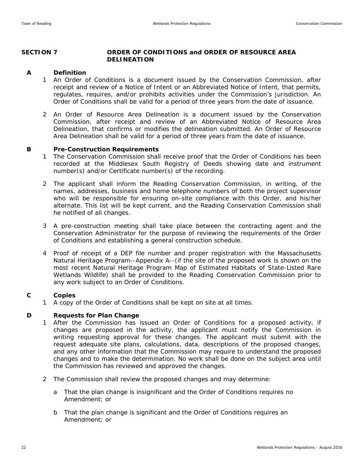#### **SECTION 7 ORDER OF CONDITIONS and ORDER OF RESOURCE AREA DELINEATION**

#### **A Definition**

- 1 An Order of Conditions is a document issued by the Conservation Commission, after receipt and review of a Notice of Intent or an Abbreviated Notice of Intent, that permits, regulates, requires, and/or prohibits activities under the Commission's jurisdiction. An Order of Conditions shall be valid for a period of three years from the date of issuance.
- 2 An Order of Resource Area Delineation is a document issued by the Conservation Commission, after receipt and review of an Abbreviated Notice of Resource Area Delineation, that confirms or modifies the delineation submitted. An Order of Resource Area Delineation shall be valid for a period of three years from the date of issuance.

#### **B Pre-Construction Requirements**

- 1 The Conservation Commission shall receive proof that the Order of Conditions has been recorded at the Middlesex South Registry of Deeds showing date and instrument number(s) and/or Certificate number(s) of the recording.
- 2 The applicant shall inform the Reading Conservation Commission, in writing, of the names, addresses, business and home telephone numbers of both the project supervisor who will be responsible for ensuring on-site compliance with this Order, and his/her alternate. This list will be kept current, and the Reading Conservation Commission shall he notified of all changes.
- 3 A pre-construction meeting shall take place between the contracting agent and the Conservation Administrator for the purpose of reviewing the requirements of the Order of Conditions and establishing a general construction schedule.
- 4 Proof of receipt of a DEP file number and proper registration with the Massachusetts Natural Heritage Program--Appendix A--(if the site of the proposed work is shown on the most recent Natural Heritage Program Map of Estimated Habitats of State-Listed Rare Wetlands Wildlife) shall be provided to the Reading Conservation Commission prior to any work subject to an Order of Conditions.

#### **C Copies**

1 A copy of the Order of Conditions shall be kept on site at all times.

#### **D Requests for Plan Change**

- 1 After the Commission has issued an Order of Conditions for a proposed activity, if changes are proposed in the activity, the applicant must notify the Commission in writing requesting approval for these changes. The applicant must submit with the request adequate site plans, calculations, data, descriptions of the proposed changes, and any other information that the Commission may require to understand the proposed changes and to make the determination. No work shall be done on the subject area until the Commission has reviewed and approved the changes.
- 2 The Commission shall review the proposed changes and may determine:
	- a That the plan change is insignificant and the Order of Conditions requires no Amendment; or
	- b That the plan change is significant and the Order of Conditions requires an Amendment; or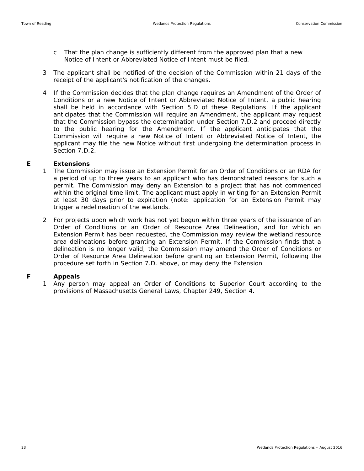- c That the plan change is sufficiently different from the approved plan that a new Notice of Intent or Abbreviated Notice of Intent must be filed.
- 3 The applicant shall be notified of the decision of the Commission within 21 days of the receipt of the applicant's notification of the changes.
- 4 If the Commission decides that the plan change requires an Amendment of the Order of Conditions or a new Notice of Intent or Abbreviated Notice of Intent, a public hearing shall be held in accordance with Section 5.D of these Regulations. If the applicant anticipates that the Commission will require an Amendment, the applicant may request that the Commission bypass the determination under Section 7.D.2 and proceed directly to the public hearing for the Amendment. If the applicant anticipates that the Commission will require a new Notice of Intent or Abbreviated Notice of Intent, the applicant may file the new Notice without first undergoing the determination process in Section 7.D.2.

#### **E Extensions**

- 1 The Commission may issue an Extension Permit for an Order of Conditions or an RDA for a period of up to three years to an applicant who has demonstrated reasons for such a permit. The Commission may deny an Extension to a project that has not commenced within the original time limit. The applicant must apply in writing for an Extension Permit at least 30 days prior to expiration (note: application for an Extension Permit may trigger a redelineation of the wetlands.
- 2 For projects upon which work has not yet begun within three years of the issuance of an Order of Conditions or an Order of Resource Area Delineation, and for which an Extension Permit has been requested, the Commission may review the wetland resource area delineations before granting an Extension Permit. If the Commission finds that a delineation is no longer valid, the Commission may amend the Order of Conditions or Order of Resource Area Delineation before granting an Extension Permit, following the procedure set forth in Section 7.D. above, or may deny the Extension

#### **F Appeals**

1 Any person may appeal an Order of Conditions to Superior Court according to the provisions of Massachusetts General Laws, Chapter 249, Section 4.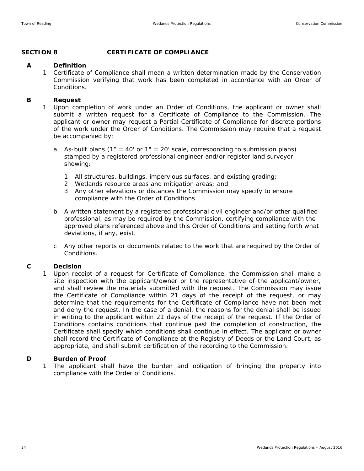### **SECTION 8 CERTIFICATE OF COMPLIANCE**

#### **A Definition**

1 Certificate of Compliance shall mean a written determination made by the Conservation Commission verifying that work has been completed in accordance with an Order of Conditions.

#### **B Request**

- 1 Upon completion of work under an Order of Conditions, the applicant or owner shall submit a written request for a Certificate of Compliance to the Commission. The applicant or owner may request a Partial Certificate of Compliance for discrete portions of the work under the Order of Conditions. The Commission may require that a request be accompanied by:
	- a As-built plans ( $1'' = 40'$  or  $1'' = 20'$  scale, corresponding to submission plans) stamped by a registered professional engineer and/or register land surveyor showing:
		- 1 All structures, buildings, impervious surfaces, and existing grading;
		- 2 Wetlands resource areas and mitigation areas; and
		- 3 Any other elevations or distances the Commission may specify to ensure compliance with the Order of Conditions.
	- b A written statement by a registered professional civil engineer and/or other qualified professional, as may be required by the Commission, certifying compliance with the approved plans referenced above and this Order of Conditions and setting forth what deviations, if any, exist.
	- c Any other reports or documents related to the work that are required by the Order of Conditions.

#### **C Decision**

1 Upon receipt of a request for Certificate of Compliance, the Commission shall make a site inspection with the applicant/owner or the representative of the applicant/owner, and shall review the materials submitted with the request. The Commission may issue the Certificate of Compliance within 21 days of the receipt of the request, or may determine that the requirements for the Certificate of Compliance have not been met and deny the request. In the case of a denial, the reasons for the denial shall be issued in writing to the applicant within 21 days of the receipt of the request. If the Order of Conditions contains conditions that continue past the completion of construction, the Certificate shall specify which conditions shall continue in effect. The applicant or owner shall record the Certificate of Compliance at the Registry of Deeds or the Land Court, as appropriate, and shall submit certification of the recording to the Commission.

#### **D Burden of Proof**

1 The applicant shall have the burden and obligation of bringing the property into compliance with the Order of Conditions.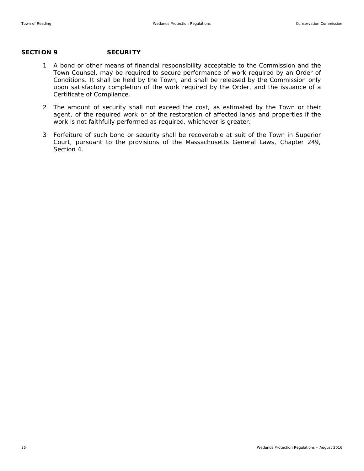#### **SECTION 9 SECURITY**

- 1 A bond or other means of financial responsibility acceptable to the Commission and the Town Counsel, may be required to secure performance of work required by an Order of Conditions. It shall be held by the Town, and shall be released by the Commission only upon satisfactory completion of the work required by the Order, and the issuance of a Certificate of Compliance.
- 2 The amount of security shall not exceed the cost, as estimated by the Town or their agent, of the required work or of the restoration of affected lands and properties if the work is not faithfully performed as required, whichever is greater.
- 3 Forfeiture of such bond or security shall be recoverable at suit of the Town in Superior Court, pursuant to the provisions of the Massachusetts General Laws, Chapter 249, Section 4.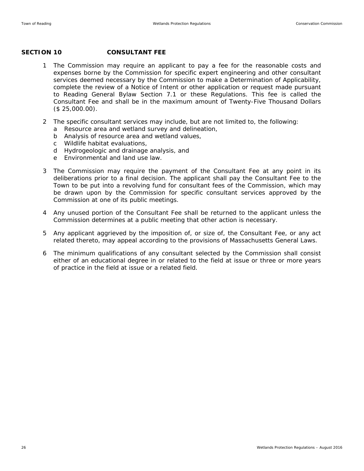#### **SECTION 10 CONSULTANT FEE**

- 1 The Commission may require an applicant to pay a fee for the reasonable costs and expenses borne by the Commission for specific expert engineering and other consultant services deemed necessary by the Commission to make a Determination of Applicability, complete the review of a Notice of Intent or other application or request made pursuant to Reading General Bylaw Section 7.1 or these Regulations. This fee is called the Consultant Fee and shall be in the maximum amount of Twenty-Five Thousand Dollars (\$ 25,000.00).
- 2 The specific consultant services may include, but are not limited to, the following:
	- a Resource area and wetland survey and delineation,
	- b Analysis of resource area and wetland values,
	- c Wildlife habitat evaluations,
	- d Hydrogeologic and drainage analysis, and
	- e Environmental and land use law.
- 3 The Commission may require the payment of the Consultant Fee at any point in its deliberations prior to a final decision. The applicant shall pay the Consultant Fee to the Town to be put into a revolving fund for consultant fees of the Commission, which may be drawn upon by the Commission for specific consultant services approved by the Commission at one of its public meetings.
- 4 Any unused portion of the Consultant Fee shall be returned to the applicant unless the Commission determines at a public meeting that other action is necessary.
- 5 Any applicant aggrieved by the imposition of, or size of, the Consultant Fee, or any act related thereto, may appeal according to the provisions of Massachusetts General Laws.
- 6 The minimum qualifications of any consultant selected by the Commission shall consist either of an educational degree in or related to the field at issue or three or more years of practice in the field at issue or a related field.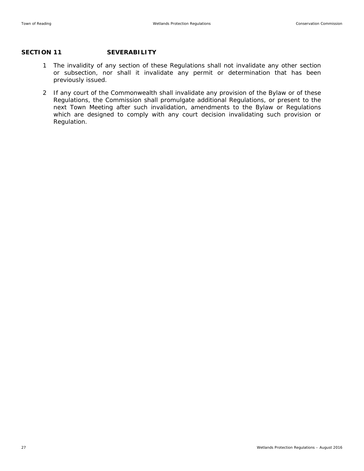### SECTION 11 SEVERABILITY

- 1 The invalidity of any section of these Regulations shall not invalidate any other section or subsection, nor shall it invalidate any permit or determination that has been previously issued.
- 2 If any court of the Commonwealth shall invalidate any provision of the Bylaw or of these Regulations, the Commission shall promulgate additional Regulations, or present to the next Town Meeting after such invalidation, amendments to the Bylaw or Regulations which are designed to comply with any court decision invalidating such provision or Regulation.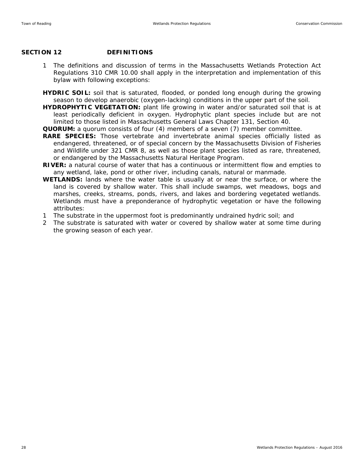#### SECTION 12 DEFINITIONS

- 1 The definitions and discussion of terms in the Massachusetts Wetlands Protection Act Regulations 310 CMR 10.00 shall apply in the interpretation and implementation of this bylaw with following exceptions:
- **HYDRIC SOIL:** soil that is saturated, flooded, or ponded long enough during the growing season to develop anaerobic (oxygen-lacking) conditions in the upper part of the soil.
- **HYDROPHYTIC VEGETATION:** plant life growing in water and/or saturated soil that is at least periodically deficient in oxygen. Hydrophytic plant species include but are not limited to those listed in Massachusetts General Laws Chapter 131, Section 40.
- **QUORUM:** a quorum consists of four (4) members of a seven (7) member committee.
- **RARE SPECIES:** Those vertebrate and invertebrate animal species officially listed as endangered, threatened, or of special concern by the Massachusetts Division of Fisheries and Wildlife under 321 CMR 8, as well as those plant species listed as rare, threatened, or endangered by the Massachusetts Natural Heritage Program.
- **RIVER:** a natural course of water that has a continuous or intermittent flow and empties to any wetland, lake, pond or other river, including canals, natural or manmade.
- **WETLANDS:** lands where the water table is usually at or near the surface, or where the land is covered by shallow water. This shall include swamps, wet meadows, bogs and marshes, creeks, streams, ponds, rivers, and lakes and bordering vegetated wetlands. Wetlands must have a preponderance of hydrophytic vegetation or have the following attributes:
- 1 The substrate in the uppermost foot is predominantly undrained hydric soil; and
- 2 The substrate is saturated with water or covered by shallow water at some time during the growing season of each year.